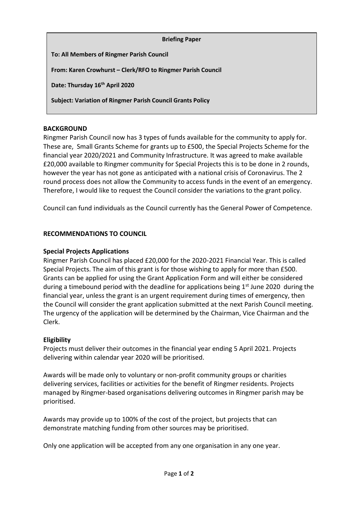| <b>Briefing Paper</b>                                             |
|-------------------------------------------------------------------|
| <b>To: All Members of Ringmer Parish Council</b>                  |
| From: Karen Crowhurst - Clerk/RFO to Ringmer Parish Council       |
| Date: Thursday 16th April 2020                                    |
| <b>Subject: Variation of Ringmer Parish Council Grants Policy</b> |

# **BACKGROUND**

Ringmer Parish Council now has 3 types of funds available for the community to apply for. These are, Small Grants Scheme for grants up to £500, the Special Projects Scheme for the financial year 2020/2021 and Community Infrastructure. It was agreed to make available £20,000 available to Ringmer community for Special Projects this is to be done in 2 rounds, however the year has not gone as anticipated with a national crisis of Coronavirus. The 2 round process does not allow the Community to access funds in the event of an emergency. Therefore, I would like to request the Council consider the variations to the grant policy.

Council can fund individuals as the Council currently has the General Power of Competence.

### **RECOMMENDATIONS TO COUNCIL**

#### **Special Projects Applications**

Ringmer Parish Council has placed £20,000 for the 2020-2021 Financial Year. This is called Special Projects. The aim of this grant is for those wishing to apply for more than £500. Grants can be applied for using the Grant Application Form and will either be considered during a timebound period with the deadline for applications being  $1<sup>st</sup>$  June 2020 during the financial year, unless the grant is an urgent requirement during times of emergency, then the Council will consider the grant application submitted at the next Parish Council meeting. The urgency of the application will be determined by the Chairman, Vice Chairman and the Clerk.

#### **Eligibility**

Projects must deliver their outcomes in the financial year ending 5 April 2021. Projects delivering within calendar year 2020 will be prioritised.

Awards will be made only to voluntary or non-profit community groups or charities delivering services, facilities or activities for the benefit of Ringmer residents. Projects managed by Ringmer-based organisations delivering outcomes in Ringmer parish may be prioritised.

Awards may provide up to 100% of the cost of the project, but projects that can demonstrate matching funding from other sources may be prioritised.

Only one application will be accepted from any one organisation in any one year.